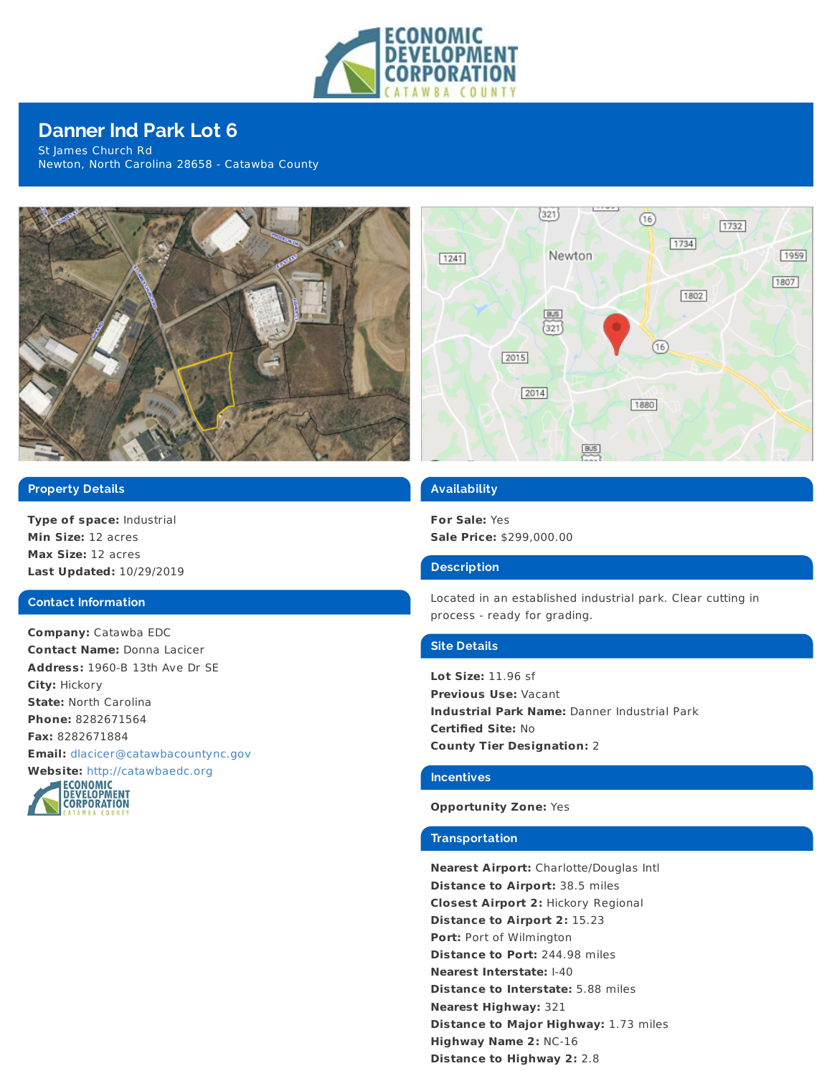

# **Danner Ind Park Lot 6**

St James Church Rd Newton, North Carolina 28658 - Catawba County



## **Property Details**

**Type of space:** Industrial **Min Size:** 12 acres **Max Size:** 12 acres **Last Updated:** 10/29/2019

## **Contact Information**

**Company:** Catawba EDC **Contact Name:** Donna Lacicer **Address:** 1960-B 13th Ave Dr SE **City:** Hickory **State:** North Carolina **Phone:** 8282671564 **Fax:** 8282671884 **Email:** [dlacicer@catawbacountync.gov](mailto:dlacicer@catawbacountync.gov)





## **Availability**

**For Sale:** Yes **Sale Price:** \$299,000.00

## **Description**

Located in an established industrial park. Clear cutting in process - ready for grading.

#### **Site Details**

**Lot Size:** 11.96 sf **Previous Use:** Vacant **Industrial Park Name:** Danner Industrial Park **Certified Site:** No **County Tier Designation:** 2

## **Incentives**

## **Opportunity Zone:** Yes

#### **Transportation**

**Nearest Airport:** Charlotte/Douglas Intl **Distance to Airport:** 38.5 miles **Closest Airport 2:** Hickory Regional **Distance to Airport 2:** 15.23 **Port:** Port of Wilmington **Distance to Port:** 244.98 miles **Nearest Interstate:** I-40 **Distance to Interstate:** 5.88 miles **Nearest Highway:** 321 **Distance to Major Highway:** 1.73 miles **Highway Name 2:** NC-16 **Distance to Highway 2:** 2.8